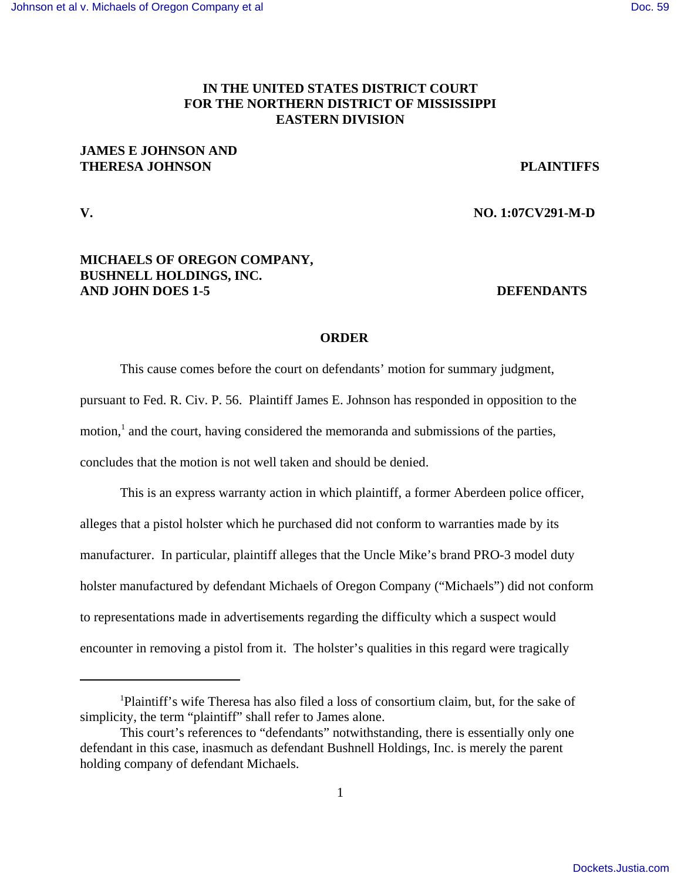# **IN THE UNITED STATES DISTRICT COURT FOR THE NORTHERN DISTRICT OF MISSISSIPPI EASTERN DIVISION**

## **JAMES E JOHNSON AND THERESA JOHNSON PLAINTIFFS**

**V. NO. 1:07CV291-M-D**

## **MICHAELS OF OREGON COMPANY, BUSHNELL HOLDINGS, INC. AND JOHN DOES 1-5 DEFENDANTS**

### **ORDER**

This cause comes before the court on defendants' motion for summary judgment, pursuant to Fed. R. Civ. P. 56. Plaintiff James E. Johnson has responded in opposition to the motion,<sup>1</sup> and the court, having considered the memoranda and submissions of the parties, concludes that the motion is not well taken and should be denied.

This is an express warranty action in which plaintiff, a former Aberdeen police officer, alleges that a pistol holster which he purchased did not conform to warranties made by its manufacturer. In particular, plaintiff alleges that the Uncle Mike's brand PRO-3 model duty holster manufactured by defendant Michaels of Oregon Company ("Michaels") did not conform to representations made in advertisements regarding the difficulty which a suspect would encounter in removing a pistol from it. The holster's qualities in this regard were tragically

<sup>1</sup> Plaintiff's wife Theresa has also filed a loss of consortium claim, but, for the sake of simplicity, the term "plaintiff" shall refer to James alone.

This court's references to "defendants" notwithstanding, there is essentially only one defendant in this case, inasmuch as defendant Bushnell Holdings, Inc. is merely the parent holding company of defendant Michaels.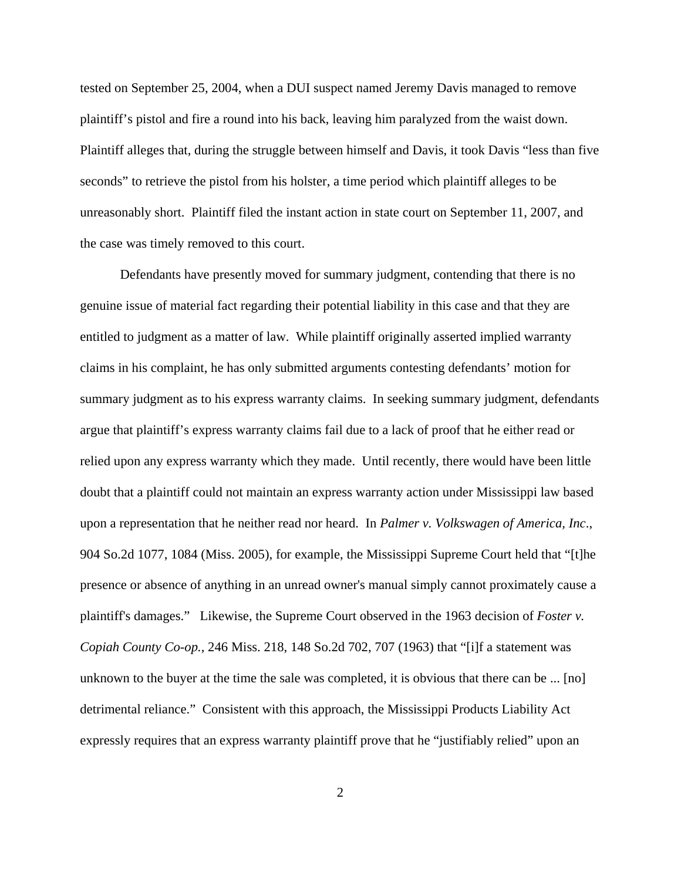tested on September 25, 2004, when a DUI suspect named Jeremy Davis managed to remove plaintiff's pistol and fire a round into his back, leaving him paralyzed from the waist down. Plaintiff alleges that, during the struggle between himself and Davis, it took Davis "less than five seconds" to retrieve the pistol from his holster, a time period which plaintiff alleges to be unreasonably short. Plaintiff filed the instant action in state court on September 11, 2007, and the case was timely removed to this court.

Defendants have presently moved for summary judgment, contending that there is no genuine issue of material fact regarding their potential liability in this case and that they are entitled to judgment as a matter of law. While plaintiff originally asserted implied warranty claims in his complaint, he has only submitted arguments contesting defendants' motion for summary judgment as to his express warranty claims. In seeking summary judgment, defendants argue that plaintiff's express warranty claims fail due to a lack of proof that he either read or relied upon any express warranty which they made. Until recently, there would have been little doubt that a plaintiff could not maintain an express warranty action under Mississippi law based upon a representation that he neither read nor heard. In *Palmer v. Volkswagen of America, Inc*., 904 So.2d 1077, 1084 (Miss. 2005), for example, the Mississippi Supreme Court held that "[t]he presence or absence of anything in an unread owner's manual simply cannot proximately cause a plaintiff's damages." Likewise, the Supreme Court observed in the 1963 decision of *Foster v. Copiah County Co-op.*, 246 Miss. 218, 148 So.2d 702, 707 (1963) that "[i]f a statement was unknown to the buyer at the time the sale was completed, it is obvious that there can be ... [no] detrimental reliance." Consistent with this approach, the Mississippi Products Liability Act expressly requires that an express warranty plaintiff prove that he "justifiably relied" upon an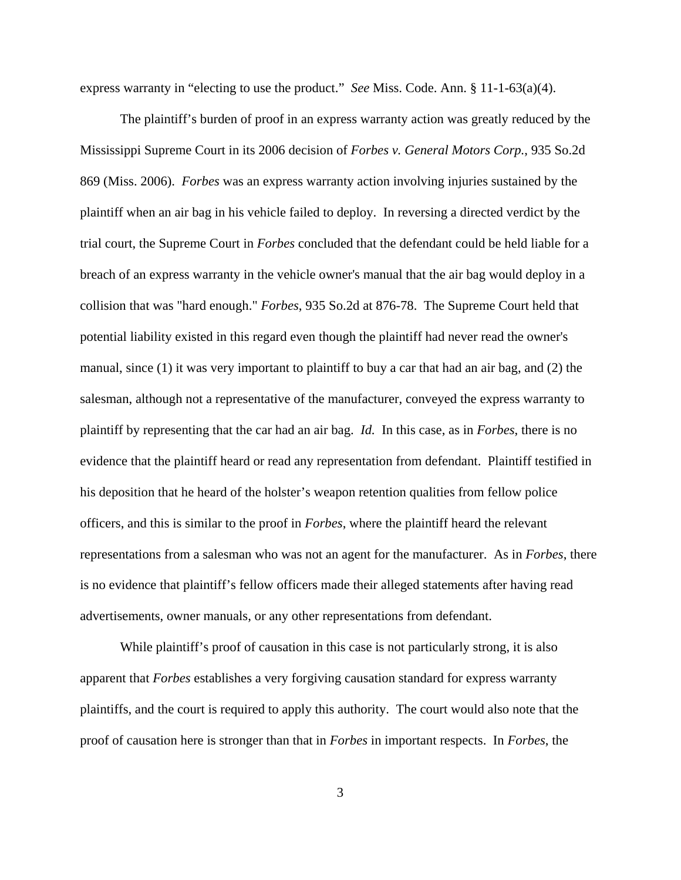express warranty in "electing to use the product." *See* Miss. Code. Ann. § 11-1-63(a)(4).

The plaintiff's burden of proof in an express warranty action was greatly reduced by the Mississippi Supreme Court in its 2006 decision of *Forbes v. General Motors Corp.*, 935 So.2d 869 (Miss. 2006). *Forbes* was an express warranty action involving injuries sustained by the plaintiff when an air bag in his vehicle failed to deploy. In reversing a directed verdict by the trial court, the Supreme Court in *Forbes* concluded that the defendant could be held liable for a breach of an express warranty in the vehicle owner's manual that the air bag would deploy in a collision that was "hard enough." *Forbes*, 935 So.2d at 876-78. The Supreme Court held that potential liability existed in this regard even though the plaintiff had never read the owner's manual, since (1) it was very important to plaintiff to buy a car that had an air bag, and (2) the salesman, although not a representative of the manufacturer, conveyed the express warranty to plaintiff by representing that the car had an air bag. *Id.* In this case, as in *Forbes*, there is no evidence that the plaintiff heard or read any representation from defendant. Plaintiff testified in his deposition that he heard of the holster's weapon retention qualities from fellow police officers, and this is similar to the proof in *Forbes*, where the plaintiff heard the relevant representations from a salesman who was not an agent for the manufacturer. As in *Forbes*, there is no evidence that plaintiff's fellow officers made their alleged statements after having read advertisements, owner manuals, or any other representations from defendant.

While plaintiff's proof of causation in this case is not particularly strong, it is also apparent that *Forbes* establishes a very forgiving causation standard for express warranty plaintiffs, and the court is required to apply this authority. The court would also note that the proof of causation here is stronger than that in *Forbes* in important respects. In *Forbes*, the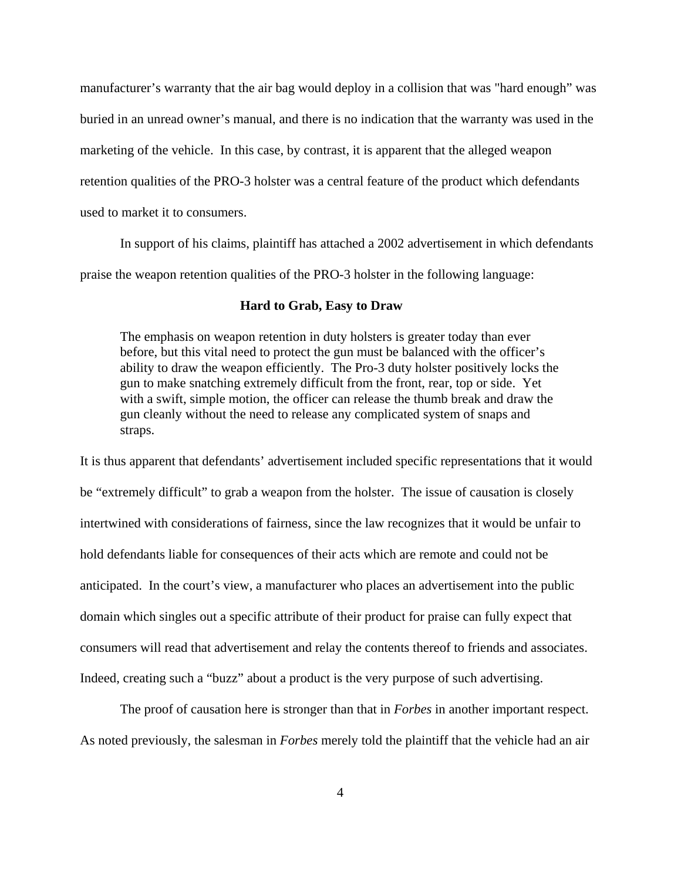manufacturer's warranty that the air bag would deploy in a collision that was "hard enough" was buried in an unread owner's manual, and there is no indication that the warranty was used in the marketing of the vehicle. In this case, by contrast, it is apparent that the alleged weapon retention qualities of the PRO-3 holster was a central feature of the product which defendants used to market it to consumers.

In support of his claims, plaintiff has attached a 2002 advertisement in which defendants praise the weapon retention qualities of the PRO-3 holster in the following language:

### **Hard to Grab, Easy to Draw**

The emphasis on weapon retention in duty holsters is greater today than ever before, but this vital need to protect the gun must be balanced with the officer's ability to draw the weapon efficiently. The Pro-3 duty holster positively locks the gun to make snatching extremely difficult from the front, rear, top or side. Yet with a swift, simple motion, the officer can release the thumb break and draw the gun cleanly without the need to release any complicated system of snaps and straps.

It is thus apparent that defendants' advertisement included specific representations that it would be "extremely difficult" to grab a weapon from the holster. The issue of causation is closely intertwined with considerations of fairness, since the law recognizes that it would be unfair to hold defendants liable for consequences of their acts which are remote and could not be anticipated. In the court's view, a manufacturer who places an advertisement into the public domain which singles out a specific attribute of their product for praise can fully expect that consumers will read that advertisement and relay the contents thereof to friends and associates. Indeed, creating such a "buzz" about a product is the very purpose of such advertising.

The proof of causation here is stronger than that in *Forbes* in another important respect. As noted previously, the salesman in *Forbes* merely told the plaintiff that the vehicle had an air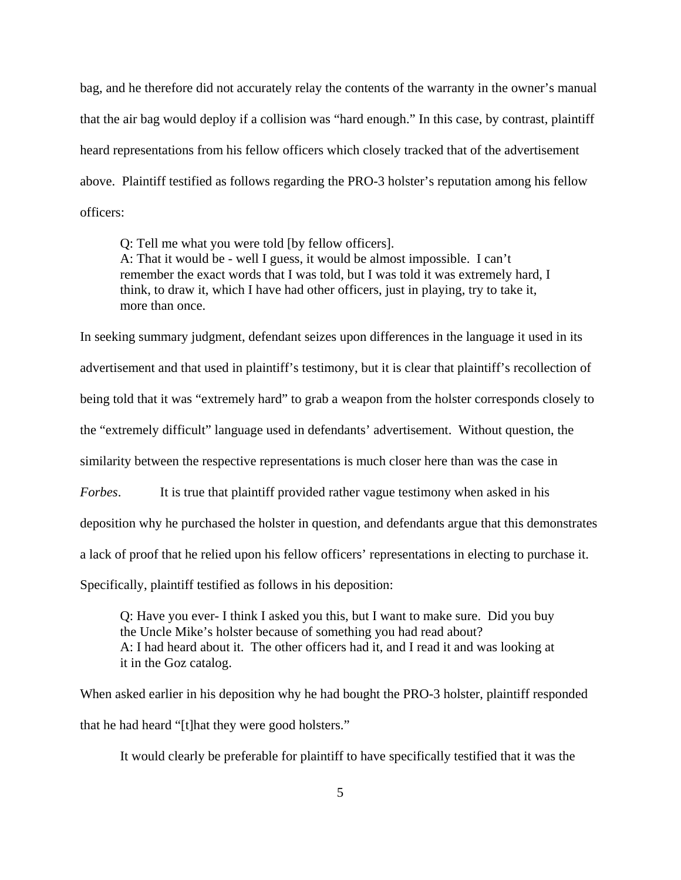bag, and he therefore did not accurately relay the contents of the warranty in the owner's manual that the air bag would deploy if a collision was "hard enough." In this case, by contrast, plaintiff heard representations from his fellow officers which closely tracked that of the advertisement above. Plaintiff testified as follows regarding the PRO-3 holster's reputation among his fellow officers:

Q: Tell me what you were told [by fellow officers]. A: That it would be - well I guess, it would be almost impossible. I can't remember the exact words that I was told, but I was told it was extremely hard, I think, to draw it, which I have had other officers, just in playing, try to take it, more than once.

In seeking summary judgment, defendant seizes upon differences in the language it used in its advertisement and that used in plaintiff's testimony, but it is clear that plaintiff's recollection of being told that it was "extremely hard" to grab a weapon from the holster corresponds closely to the "extremely difficult" language used in defendants' advertisement. Without question, the similarity between the respective representations is much closer here than was the case in *Forbes*. It is true that plaintiff provided rather vague testimony when asked in his deposition why he purchased the holster in question, and defendants argue that this demonstrates a lack of proof that he relied upon his fellow officers' representations in electing to purchase it. Specifically, plaintiff testified as follows in his deposition:

Q: Have you ever- I think I asked you this, but I want to make sure. Did you buy the Uncle Mike's holster because of something you had read about? A: I had heard about it. The other officers had it, and I read it and was looking at it in the Goz catalog.

When asked earlier in his deposition why he had bought the PRO-3 holster, plaintiff responded that he had heard "[t]hat they were good holsters."

It would clearly be preferable for plaintiff to have specifically testified that it was the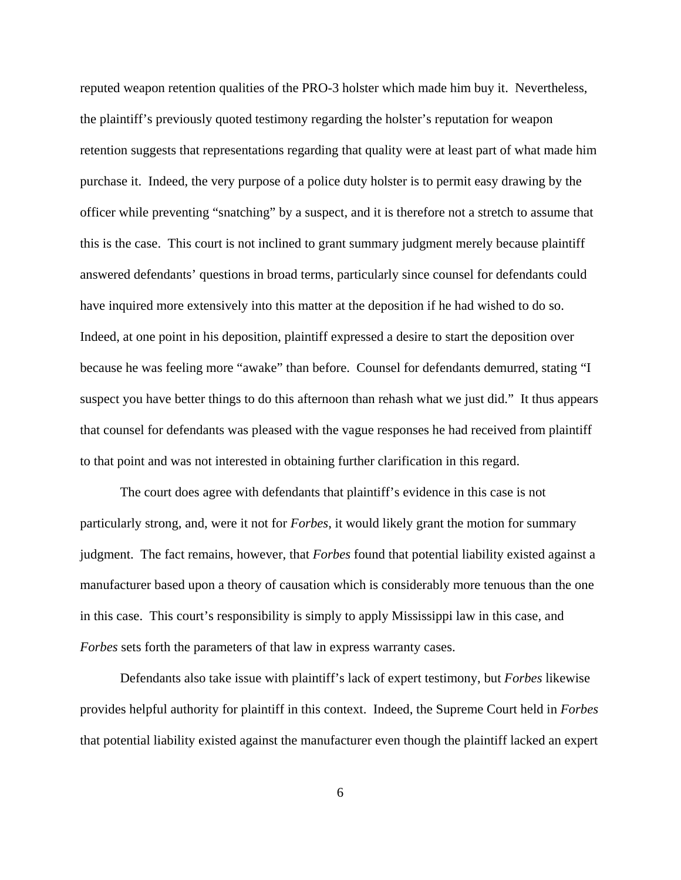reputed weapon retention qualities of the PRO-3 holster which made him buy it. Nevertheless, the plaintiff's previously quoted testimony regarding the holster's reputation for weapon retention suggests that representations regarding that quality were at least part of what made him purchase it. Indeed, the very purpose of a police duty holster is to permit easy drawing by the officer while preventing "snatching" by a suspect, and it is therefore not a stretch to assume that this is the case. This court is not inclined to grant summary judgment merely because plaintiff answered defendants' questions in broad terms, particularly since counsel for defendants could have inquired more extensively into this matter at the deposition if he had wished to do so. Indeed, at one point in his deposition, plaintiff expressed a desire to start the deposition over because he was feeling more "awake" than before. Counsel for defendants demurred, stating "I suspect you have better things to do this afternoon than rehash what we just did." It thus appears that counsel for defendants was pleased with the vague responses he had received from plaintiff to that point and was not interested in obtaining further clarification in this regard.

The court does agree with defendants that plaintiff's evidence in this case is not particularly strong, and, were it not for *Forbes*, it would likely grant the motion for summary judgment. The fact remains, however, that *Forbes* found that potential liability existed against a manufacturer based upon a theory of causation which is considerably more tenuous than the one in this case. This court's responsibility is simply to apply Mississippi law in this case, and *Forbes* sets forth the parameters of that law in express warranty cases.

Defendants also take issue with plaintiff's lack of expert testimony, but *Forbes* likewise provides helpful authority for plaintiff in this context. Indeed, the Supreme Court held in *Forbes* that potential liability existed against the manufacturer even though the plaintiff lacked an expert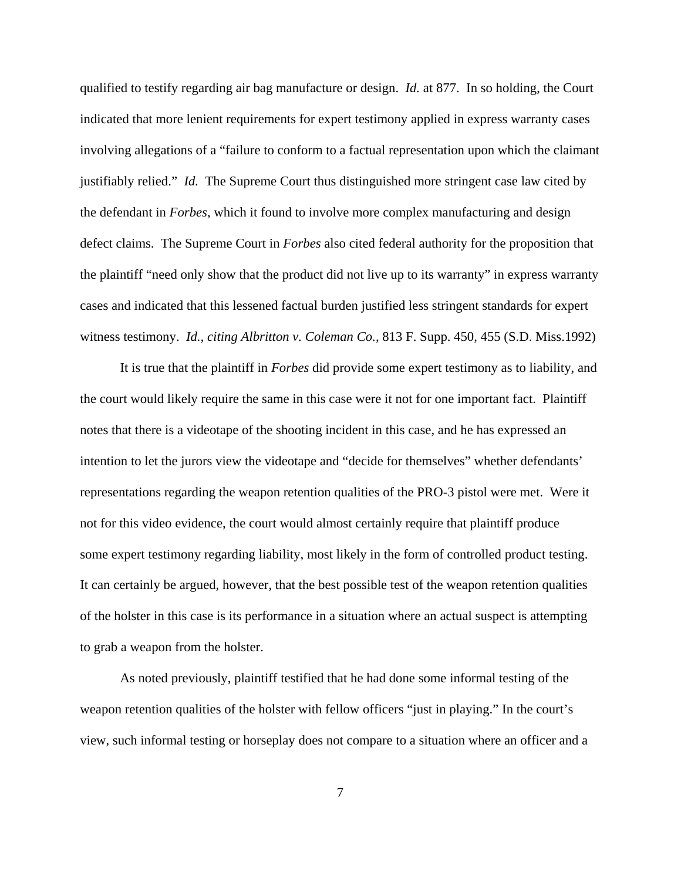qualified to testify regarding air bag manufacture or design. *Id.* at 877. In so holding, the Court indicated that more lenient requirements for expert testimony applied in express warranty cases involving allegations of a "failure to conform to a factual representation upon which the claimant justifiably relied." *Id.* The Supreme Court thus distinguished more stringent case law cited by the defendant in *Forbes*, which it found to involve more complex manufacturing and design defect claims. The Supreme Court in *Forbes* also cited federal authority for the proposition that the plaintiff "need only show that the product did not live up to its warranty" in express warranty cases and indicated that this lessened factual burden justified less stringent standards for expert witness testimony. *Id., citing Albritton v. Coleman Co.*, 813 F. Supp. 450, 455 (S.D. Miss.1992)

It is true that the plaintiff in *Forbes* did provide some expert testimony as to liability, and the court would likely require the same in this case were it not for one important fact. Plaintiff notes that there is a videotape of the shooting incident in this case, and he has expressed an intention to let the jurors view the videotape and "decide for themselves" whether defendants' representations regarding the weapon retention qualities of the PRO-3 pistol were met. Were it not for this video evidence, the court would almost certainly require that plaintiff produce some expert testimony regarding liability, most likely in the form of controlled product testing. It can certainly be argued, however, that the best possible test of the weapon retention qualities of the holster in this case is its performance in a situation where an actual suspect is attempting to grab a weapon from the holster.

As noted previously, plaintiff testified that he had done some informal testing of the weapon retention qualities of the holster with fellow officers "just in playing." In the court's view, such informal testing or horseplay does not compare to a situation where an officer and a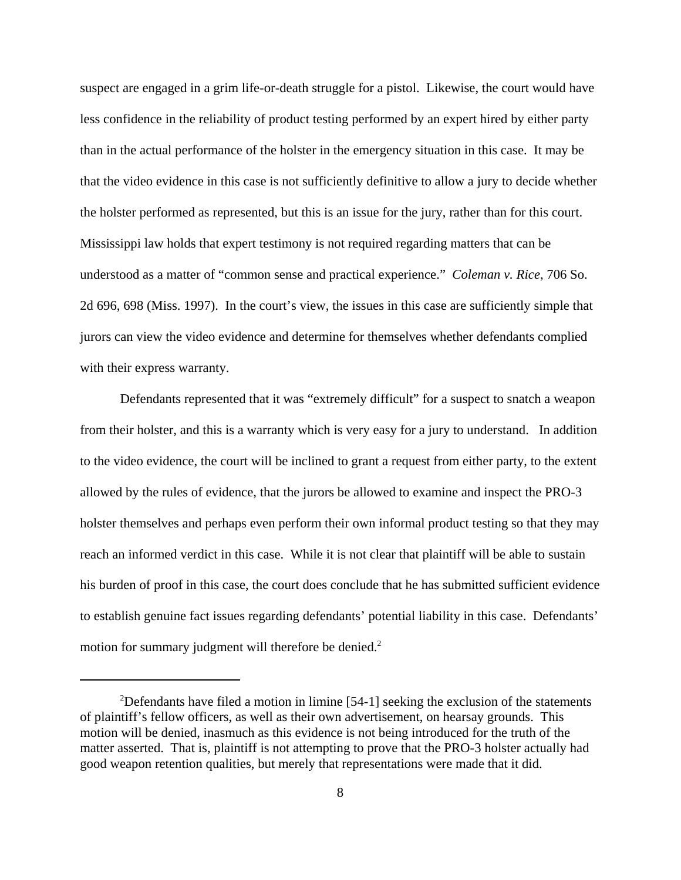suspect are engaged in a grim life-or-death struggle for a pistol. Likewise, the court would have less confidence in the reliability of product testing performed by an expert hired by either party than in the actual performance of the holster in the emergency situation in this case. It may be that the video evidence in this case is not sufficiently definitive to allow a jury to decide whether the holster performed as represented, but this is an issue for the jury, rather than for this court. Mississippi law holds that expert testimony is not required regarding matters that can be understood as a matter of "common sense and practical experience." *Coleman v. Rice*, 706 So. 2d 696, 698 (Miss. 1997). In the court's view, the issues in this case are sufficiently simple that jurors can view the video evidence and determine for themselves whether defendants complied with their express warranty.

Defendants represented that it was "extremely difficult" for a suspect to snatch a weapon from their holster, and this is a warranty which is very easy for a jury to understand. In addition to the video evidence, the court will be inclined to grant a request from either party, to the extent allowed by the rules of evidence, that the jurors be allowed to examine and inspect the PRO-3 holster themselves and perhaps even perform their own informal product testing so that they may reach an informed verdict in this case. While it is not clear that plaintiff will be able to sustain his burden of proof in this case, the court does conclude that he has submitted sufficient evidence to establish genuine fact issues regarding defendants' potential liability in this case. Defendants' motion for summary judgment will therefore be denied.<sup>2</sup>

 $2$ Defendants have filed a motion in limine [54-1] seeking the exclusion of the statements of plaintiff's fellow officers, as well as their own advertisement, on hearsay grounds. This motion will be denied, inasmuch as this evidence is not being introduced for the truth of the matter asserted. That is, plaintiff is not attempting to prove that the PRO-3 holster actually had good weapon retention qualities, but merely that representations were made that it did.